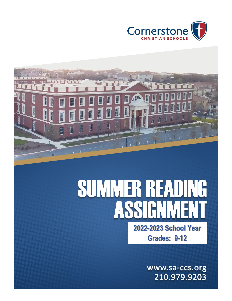



# **SUMMER READING** AS **2022-2023 School Year**

**Grades: 9-12**

www.sa-ccs.org 210.979.9203